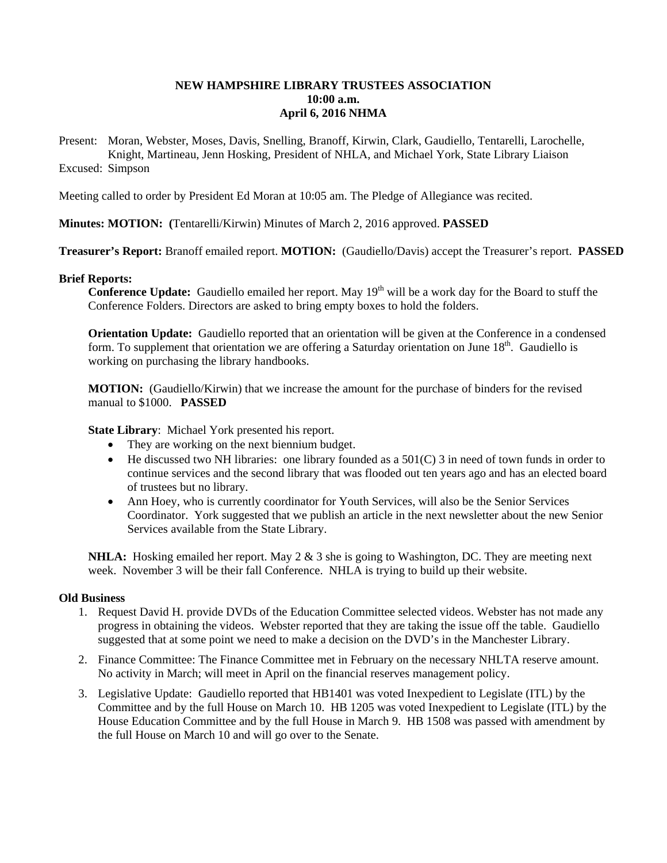# **NEW HAMPSHIRE LIBRARY TRUSTEES ASSOCIATION 10:00 a.m. April 6, 2016 NHMA**

Present: Moran, Webster, Moses, Davis, Snelling, Branoff, Kirwin, Clark, Gaudiello, Tentarelli, Larochelle, Knight, Martineau, Jenn Hosking, President of NHLA, and Michael York, State Library Liaison Excused: Simpson

Meeting called to order by President Ed Moran at 10:05 am. The Pledge of Allegiance was recited.

**Minutes: MOTION: (**Tentarelli/Kirwin) Minutes of March 2, 2016 approved. **PASSED**

**Treasurer's Report:** Branoff emailed report. **MOTION:** (Gaudiello/Davis) accept the Treasurer's report. **PASSED**

### **Brief Reports:**

**Conference Update:** Gaudiello emailed her report. May 19<sup>th</sup> will be a work day for the Board to stuff the Conference Folders. Directors are asked to bring empty boxes to hold the folders.

**Orientation Update:** Gaudiello reported that an orientation will be given at the Conference in a condensed form. To supplement that orientation we are offering a Saturday orientation on June  $18<sup>th</sup>$ . Gaudiello is working on purchasing the library handbooks.

**MOTION:** (Gaudiello/Kirwin) that we increase the amount for the purchase of binders for the revised manual to \$1000. **PASSED**

**State Library**: Michael York presented his report.

- They are working on the next biennium budget.
- $\bullet$  He discussed two NH libraries: one library founded as a 501(C) 3 in need of town funds in order to continue services and the second library that was flooded out ten years ago and has an elected board of trustees but no library.
- Ann Hoey, who is currently coordinator for Youth Services, will also be the Senior Services Coordinator. York suggested that we publish an article in the next newsletter about the new Senior Services available from the State Library.

**NHLA:** Hosking emailed her report. May 2 & 3 she is going to Washington, DC. They are meeting next week. November 3 will be their fall Conference. NHLA is trying to build up their website.

#### **Old Business**

- 1. Request David H. provide DVDs of the Education Committee selected videos. Webster has not made any progress in obtaining the videos. Webster reported that they are taking the issue off the table. Gaudiello suggested that at some point we need to make a decision on the DVD's in the Manchester Library.
- 2. Finance Committee: The Finance Committee met in February on the necessary NHLTA reserve amount. No activity in March; will meet in April on the financial reserves management policy.
- 3. Legislative Update: Gaudiello reported that HB1401 was voted Inexpedient to Legislate (ITL) by the Committee and by the full House on March 10. HB 1205 was voted Inexpedient to Legislate (ITL) by the House Education Committee and by the full House in March 9. HB 1508 was passed with amendment by the full House on March 10 and will go over to the Senate.